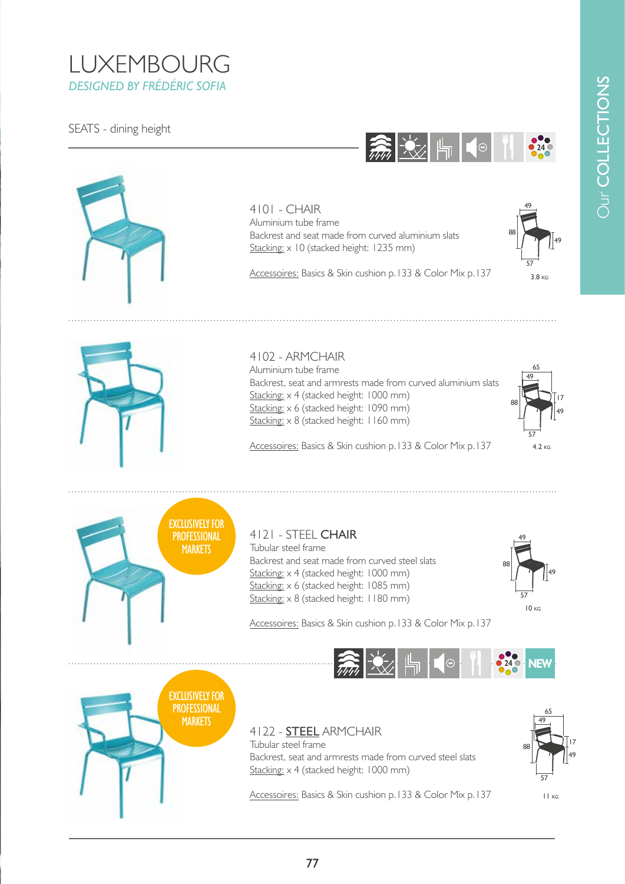# **Dur COLLECTIONS** Our COLLECTIONS

## LUXEMBOURG *DESIGNED BY FRÉDÉRIC SOFIA*



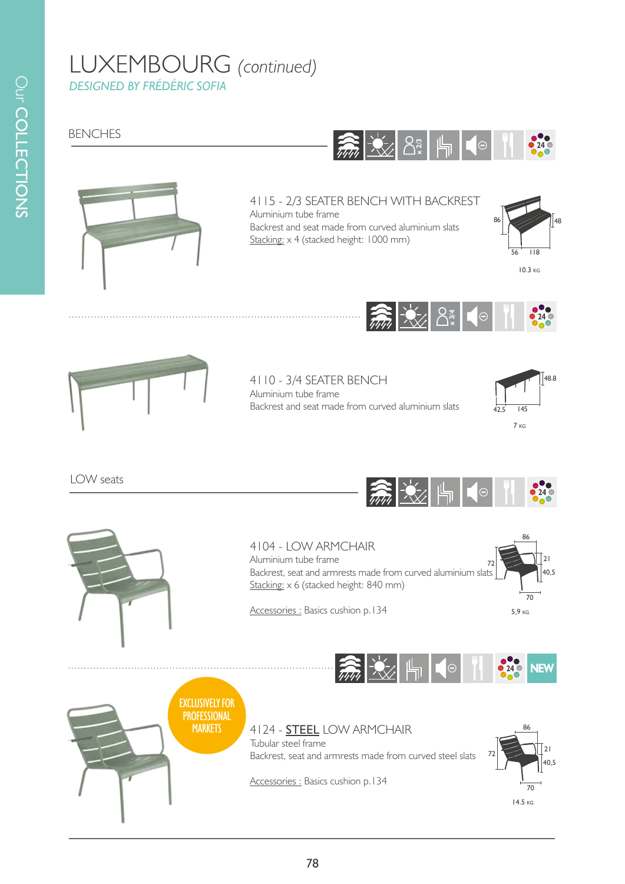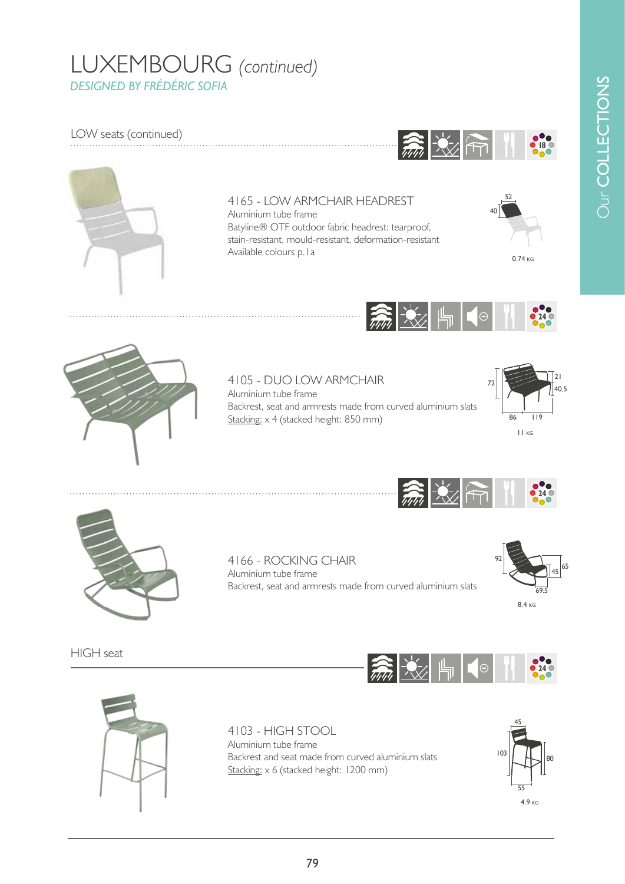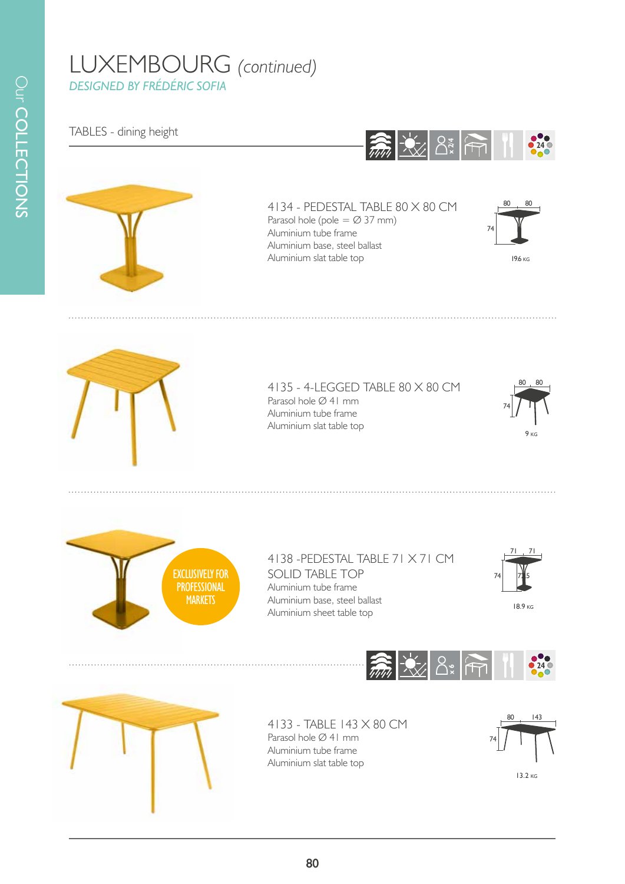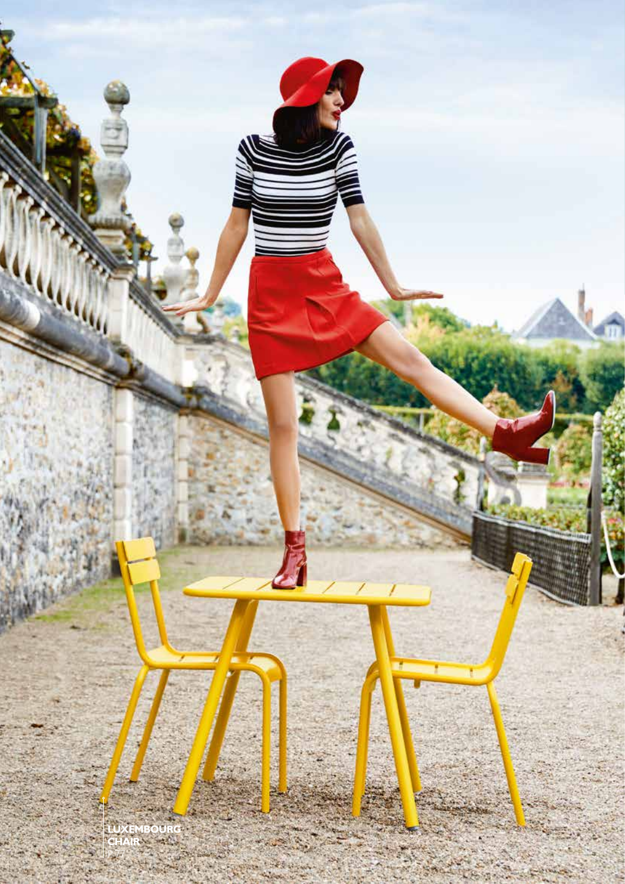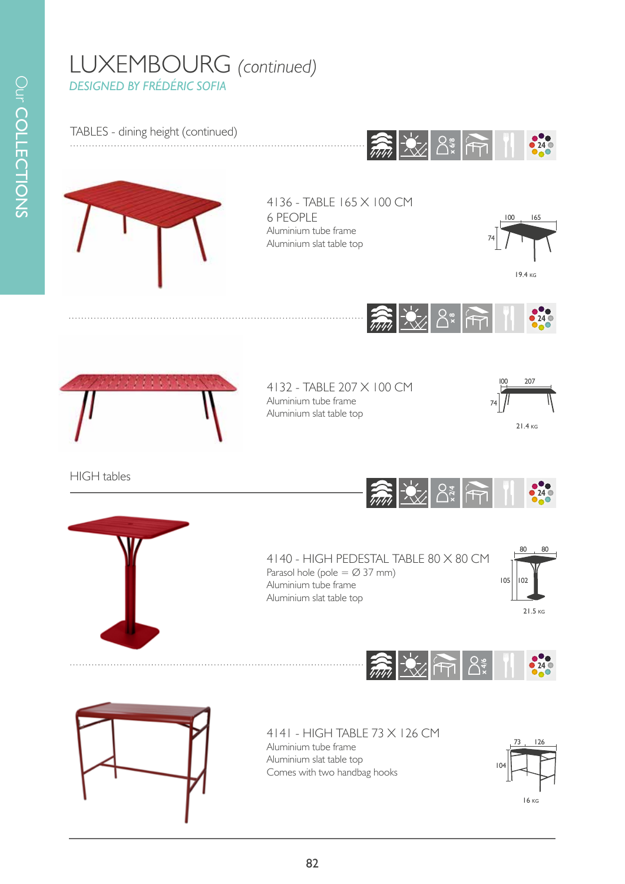